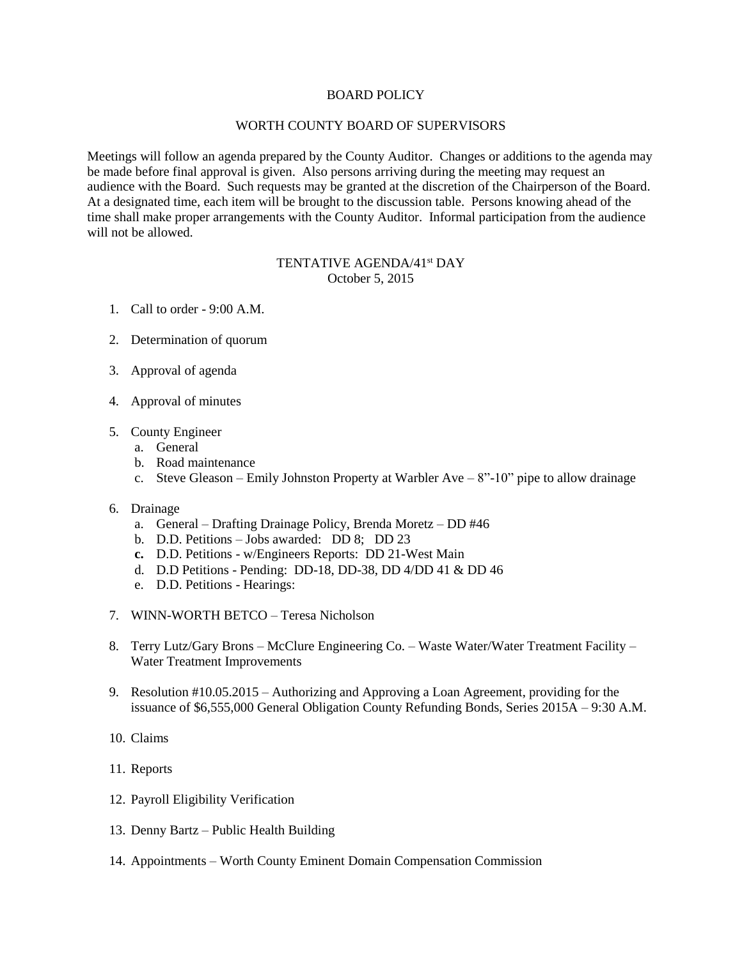## BOARD POLICY

## WORTH COUNTY BOARD OF SUPERVISORS

Meetings will follow an agenda prepared by the County Auditor. Changes or additions to the agenda may be made before final approval is given. Also persons arriving during the meeting may request an audience with the Board. Such requests may be granted at the discretion of the Chairperson of the Board. At a designated time, each item will be brought to the discussion table. Persons knowing ahead of the time shall make proper arrangements with the County Auditor. Informal participation from the audience will not be allowed.

## TENTATIVE AGENDA/41<sup>st</sup> DAY October 5, 2015

- 1. Call to order 9:00 A.M.
- 2. Determination of quorum
- 3. Approval of agenda
- 4. Approval of minutes
- 5. County Engineer
	- a. General
	- b. Road maintenance
	- c. Steve Gleason Emily Johnston Property at Warbler Ave 8"-10" pipe to allow drainage

## 6. Drainage

- a. General Drafting Drainage Policy, Brenda Moretz DD #46
- b. D.D. Petitions Jobs awarded: DD 8; DD 23
- **c.** D.D. Petitions w/Engineers Reports: DD 21-West Main
- d. D.D Petitions Pending: DD-18, DD-38, DD 4/DD 41 & DD 46
- e. D.D. Petitions Hearings:
- 7. WINN-WORTH BETCO Teresa Nicholson
- 8. Terry Lutz/Gary Brons McClure Engineering Co. Waste Water/Water Treatment Facility Water Treatment Improvements
- 9. Resolution #10.05.2015 Authorizing and Approving a Loan Agreement, providing for the issuance of \$6,555,000 General Obligation County Refunding Bonds, Series 2015A – 9:30 A.M.
- 10. Claims
- 11. Reports
- 12. Payroll Eligibility Verification
- 13. Denny Bartz Public Health Building
- 14. Appointments Worth County Eminent Domain Compensation Commission